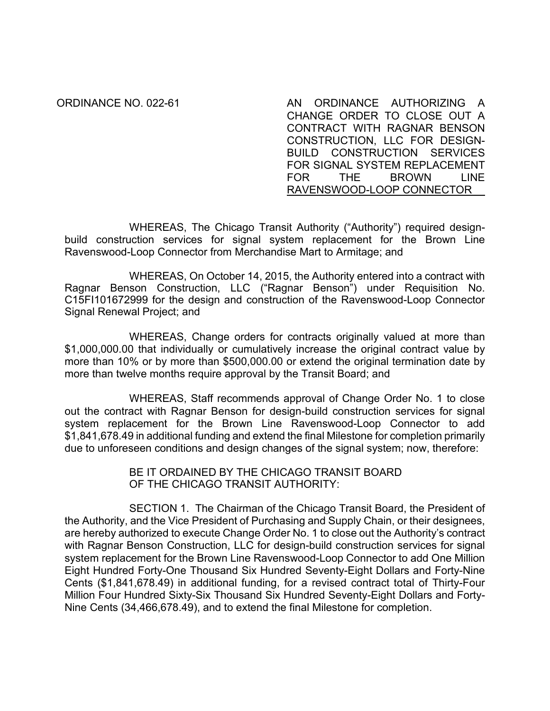ORDINANCE NO. 022-61 AN ORDINANCE AUTHORIZING A CHANGE ORDER TO CLOSE OUT A CONTRACT WITH RAGNAR BENSON CONSTRUCTION, LLC FOR DESIGN-BUILD CONSTRUCTION SERVICES FOR SIGNAL SYSTEM REPLACEMENT FOR THE BROWN LINE RAVENSWOOD-LOOP CONNECTOR

WHEREAS, The Chicago Transit Authority ("Authority") required designbuild construction services for signal system replacement for the Brown Line Ravenswood-Loop Connector from Merchandise Mart to Armitage; and

WHEREAS, On October 14, 2015, the Authority entered into a contract with Ragnar Benson Construction, LLC ("Ragnar Benson") under Requisition No. C15FI101672999 for the design and construction of the Ravenswood-Loop Connector Signal Renewal Project; and

WHEREAS, Change orders for contracts originally valued at more than \$1,000,000.00 that individually or cumulatively increase the original contract value by more than 10% or by more than \$500,000.00 or extend the original termination date by more than twelve months require approval by the Transit Board; and

WHEREAS, Staff recommends approval of Change Order No. 1 to close out the contract with Ragnar Benson for design-build construction services for signal system replacement for the Brown Line Ravenswood-Loop Connector to add \$1,841,678.49 in additional funding and extend the final Milestone for completion primarily due to unforeseen conditions and design changes of the signal system; now, therefore:

> BE IT ORDAINED BY THE CHICAGO TRANSIT BOARD OF THE CHICAGO TRANSIT AUTHORITY:

SECTION 1. The Chairman of the Chicago Transit Board, the President of the Authority, and the Vice President of Purchasing and Supply Chain, or their designees, are hereby authorized to execute Change Order No. 1 to close out the Authority's contract with Ragnar Benson Construction, LLC for design-build construction services for signal system replacement for the Brown Line Ravenswood-Loop Connector to add One Million Eight Hundred Forty-One Thousand Six Hundred Seventy-Eight Dollars and Forty-Nine Cents (\$1,841,678.49) in additional funding, for a revised contract total of Thirty-Four Million Four Hundred Sixty-Six Thousand Six Hundred Seventy-Eight Dollars and Forty-Nine Cents (34,466,678.49), and to extend the final Milestone for completion.